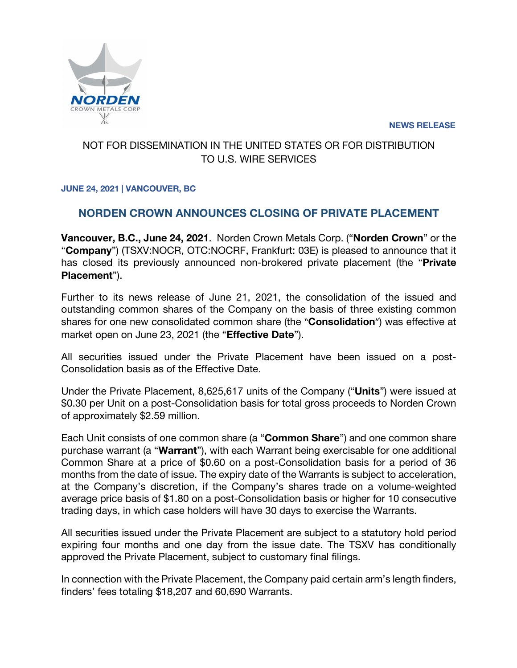**NEWS RELEASE**



## NOT FOR DISSEMINATION IN THE UNITED STATES OR FOR DISTRIBUTION TO U.S. WIRE SERVICES

### **JUNE 24, 2021 | VANCOUVER, BC**

# **NORDEN CROWN ANNOUNCES CLOSING OF PRIVATE PLACEMENT**

**Vancouver, B.C., June 24, 2021**. Norden Crown Metals Corp. ("**Norden Crown**" or the "**Company**") (TSXV:NOCR, OTC:NOCRF, Frankfurt: 03E) is pleased to announce that it has closed its previously announced non-brokered private placement (the "**Private Placement**").

Further to its news release of June 21, 2021, the consolidation of the issued and outstanding common shares of the Company on the basis of three existing common shares for one new consolidated common share (the "**Consolidation**") was effective at market open on June 23, 2021 (the "**Effective Date**").

All securities issued under the Private Placement have been issued on a post-Consolidation basis as of the Effective Date.

Under the Private Placement, 8,625,617 units of the Company ("**Units**") were issued at \$0.30 per Unit on a post-Consolidation basis for total gross proceeds to Norden Crown of approximately \$2.59 million.

Each Unit consists of one common share (a "**Common Share**") and one common share purchase warrant (a "**Warrant**"), with each Warrant being exercisable for one additional Common Share at a price of \$0.60 on a post-Consolidation basis for a period of 36 months from the date of issue. The expiry date of the Warrants is subject to acceleration, at the Company's discretion, if the Company's shares trade on a volume-weighted average price basis of \$1.80 on a post-Consolidation basis or higher for 10 consecutive trading days, in which case holders will have 30 days to exercise the Warrants.

All securities issued under the Private Placement are subject to a statutory hold period expiring four months and one day from the issue date. The TSXV has conditionally approved the Private Placement, subject to customary final filings.

In connection with the Private Placement, the Company paid certain arm's length finders, finders' fees totaling \$18,207 and 60,690 Warrants.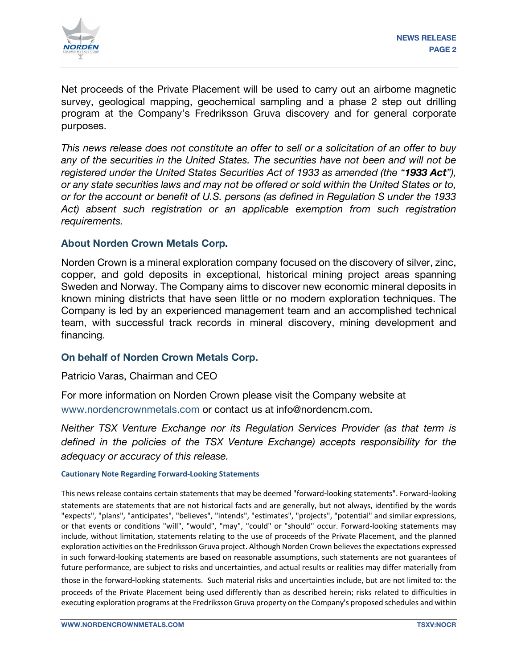

Net proceeds of the Private Placement will be used to carry out an airborne magnetic survey, geological mapping, geochemical sampling and a phase 2 step out drilling program at the Company's Fredriksson Gruva discovery and for general corporate purposes.

*This news release does not constitute an offer to sell or a solicitation of an offer to buy any of the securities in the United States. The securities have not been and will not be registered under the United States Securities Act of 1933 as amended (the "1933 Act"), or any state securities laws and may not be offered or sold within the United States or to, or for the account or benefit of U.S. persons (as defined in Regulation S under the 1933 Act) absent such registration or an applicable exemption from such registration requirements.*

#### **About Norden Crown Metals Corp.**

Norden Crown is a mineral exploration company focused on the discovery of silver, zinc, copper, and gold deposits in exceptional, historical mining project areas spanning Sweden and Norway. The Company aims to discover new economic mineral deposits in known mining districts that have seen little or no modern exploration techniques. The Company is led by an experienced management team and an accomplished technical team, with successful track records in mineral discovery, mining development and financing.

#### **On behalf of Norden Crown Metals Corp.**

Patricio Varas, Chairman and CEO

For more information on Norden Crown please visit the Company website at www.nordencrownmetals.com or contact us at info@nordencm.com.

*Neither TSX Venture Exchange nor its Regulation Services Provider (as that term is defined in the policies of the TSX Venture Exchange) accepts responsibility for the adequacy or accuracy of this release.* 

#### **Cautionary Note Regarding Forward-Looking Statements**

This news release contains certain statements that may be deemed "forward‐looking statements". Forward‐looking

statements are statements that are not historical facts and are generally, but not always, identified by the words "expects", "plans", "anticipates", "believes", "intends", "estimates", "projects", "potential" and similar expressions, or that events or conditions "will", "would", "may", "could" or "should" occur. Forward-looking statements may include, without limitation, statements relating to the use of proceeds of the Private Placement, and the planned exploration activities on the Fredriksson Gruva project. Although Norden Crown believes the expectations expressed in such forward-looking statements are based on reasonable assumptions, such statements are not guarantees of future performance, are subject to risks and uncertainties, and actual results or realities may differ materially from

those in the forward‐looking statements. Such material risks and uncertainties include, but are not limited to: the proceeds of the Private Placement being used differently than as described herein; risks related to difficulties in executing exploration programs at the Fredriksson Gruva property on the Company's proposed schedules and within